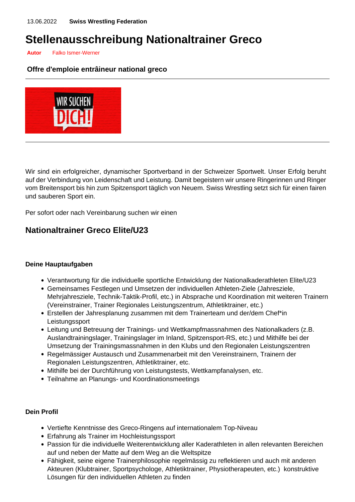# **Stellenausschreibung Nationaltrainer Greco**

**Autor** Falko Ismer-Werner

#### **Offre d'emploie entrâineur national greco**



Wir sind ein erfolgreicher, dynamischer Sportverband in der Schweizer Sportwelt. Unser Erfolg beruht auf der Verbindung von Leidenschaft und Leistung. Damit begeistern wir unsere Ringerinnen und Ringer vom Breitensport bis hin zum Spitzensport täglich von Neuem. Swiss Wrestling setzt sich für einen fairen und sauberen Sport ein.

Per sofort oder nach Vereinbarung suchen wir einen

### **Nationaltrainer Greco Elite/U23**

#### **Deine Hauptaufgaben**

- Verantwortung für die individuelle sportliche Entwicklung der Nationalkaderathleten Elite/U23
- Gemeinsames Festlegen und Umsetzen der individuellen Athleten-Ziele (Jahresziele, Mehrjahresziele, Technik-Taktik-Profil, etc.) in Absprache und Koordination mit weiteren Trainern (Vereinstrainer, Trainer Regionales Leistungszentrum, Athletiktrainer, etc.)
- Erstellen der Jahresplanung zusammen mit dem Trainerteam und der/dem Chef\*in Leistungssport
- Leitung und Betreuung der Trainings- und Wettkampfmassnahmen des Nationalkaders (z.B. Auslandtrainingslager, Trainingslager im Inland, Spitzensport-RS, etc.) und Mithilfe bei der Umsetzung der Trainingsmassnahmen in den Klubs und den Regionalen Leistungszentren
- Regelmässiger Austausch und Zusammenarbeit mit den Vereinstrainern, Trainern der Regionalen Leistungszentren, Athletiktrainer, etc.
- Mithilfe bei der Durchführung von Leistungstests, Wettkampfanalysen, etc.
- Teilnahme an Planungs- und Koordinationsmeetings

#### **Dein Profil**

- Vertiefte Kenntnisse des Greco-Ringens auf internationalem Top-Niveau
- Erfahrung als Trainer im Hochleistungssport
- Passion für die individuelle Weiterentwicklung aller Kaderathleten in allen relevanten Bereichen auf und neben der Matte auf dem Weg an die Weltspitze
- Fähigkeit, seine eigene Trainerphilosophie regelmässig zu reflektieren und auch mit anderen Akteuren (Klubtrainer, Sportpsychologe, Athletiktrainer, Physiotherapeuten, etc.) konstruktive Lösungen für den individuellen Athleten zu finden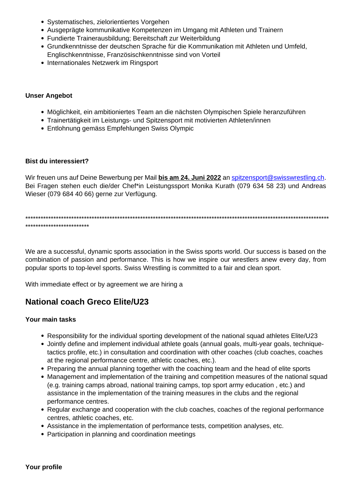- Systematisches, zielorientiertes Vorgehen
- Ausgeprägte kommunikative Kompetenzen im Umgang mit Athleten und Trainern
- Fundierte Trainerausbildung; Bereitschaft zur Weiterbildung
- Grundkenntnisse der deutschen Sprache für die Kommunikation mit Athleten und Umfeld, Englischkenntnisse, Französischkenntnisse sind von Vorteil
- Internationales Netzwerk im Ringsport

#### **Unser Angebot**

- Möglichkeit, ein ambitioniertes Team an die nächsten Olympischen Spiele heranzuführen
- Trainertätigkeit im Leistungs- und Spitzensport mit motivierten Athleten/innen
- Entlohnung gemäss Empfehlungen Swiss Olympic

#### **Bist du interessiert?**

Wir freuen uns auf Deine Bewerbung per Mail **bis am 24. Juni 2022** an [spitzensport@swisswrestling.ch](mailto:spitzensport@swisswrestling.ch). Bei Fragen stehen euch die/der Chef\*in Leistungssport Monika Kurath (079 634 58 23) und Andreas Wieser (079 684 40 66) gerne zur Verfügung.

\*\*\*\*\*\*\*\*\*\*\*\*\*\*\*\*\*\*\*\*\*\*\*\*\*\*\*\*\*\*\*\*\*\*\*\*\*\*\*\*\*\*\*\*\*\*\*\*\*\*\*\*\*\*\*\*\*\*\*\*\*\*\*\*\*\*\*\*\*\*\*\*\*\*\*\*\*\*\*\*\*\*\*\*\*\*\*\*\*\*\*\*\*\*\*\*\*\*\*\*\*\*\*\*\*\*\*\*\*\*\*\*\*\*\*\*\*\*\* \*\*\*\*\*\*\*\*\*\*\*\*\*\*\*\*\*\*\*\*\*\*\*\*\*

We are a successful, dynamic sports association in the Swiss sports world. Our success is based on the combination of passion and performance. This is how we inspire our wrestlers anew every day, from popular sports to top-level sports. Swiss Wrestling is committed to a fair and clean sport.

With immediate effect or by agreement we are hiring a

## **National coach Greco Elite/U23**

#### **Your main tasks**

- Responsibility for the individual sporting development of the national squad athletes Elite/U23
- Jointly define and implement individual athlete goals (annual goals, multi-year goals, techniquetactics profile, etc.) in consultation and coordination with other coaches (club coaches, coaches at the regional performance centre, athletic coaches, etc.).
- Preparing the annual planning together with the coaching team and the head of elite sports
- Management and implementation of the training and competition measures of the national squad (e.g. training camps abroad, national training camps, top sport army education , etc.) and assistance in the implementation of the training measures in the clubs and the regional performance centres.
- Regular exchange and cooperation with the club coaches, coaches of the regional performance centres, athletic coaches, etc.
- Assistance in the implementation of performance tests, competition analyses, etc.
- Participation in planning and coordination meetings